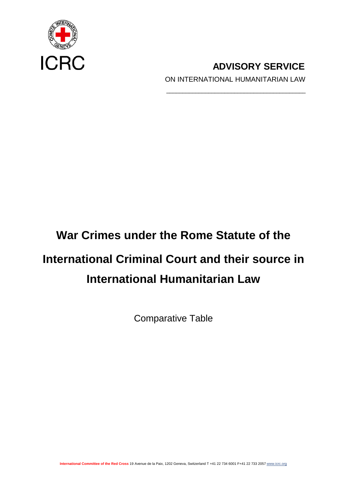

**ADVISORY SERVICE** ON INTERNATIONAL HUMANITARIAN LAW

\_\_\_\_\_\_\_\_\_\_\_\_\_\_\_\_\_\_\_\_\_\_\_\_\_\_\_\_\_\_\_\_\_\_\_\_\_\_\_\_\_\_\_

## **War Crimes under the Rome Statute of the**

# **International Criminal Court and their source in International Humanitarian Law**

Comparative Table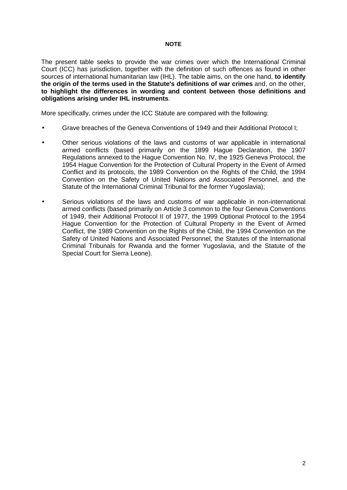#### **NOTE**

The present table seeks to provide the war crimes over which the International Criminal Court (ICC) has jurisdiction, together with the definition of such offences as found in other sources of international humanitarian law (IHL). The table aims, on the one hand, **to identify the origin of the terms used in the Statute's definitions of war crimes** and, on the other, **to highlight the differences in wording and content between those definitions and obligations arising under IHL instruments**.

More specifically, crimes under the ICC Statute are compared with the following:

- Grave breaches of the Geneva Conventions of 1949 and their Additional Protocol I;
- Other serious violations of the laws and customs of war applicable in international armed conflicts (based primarily on the 1899 Hague Declaration, the 1907 Regulations annexed to the Hague Convention No. IV, the 1925 Geneva Protocol, the 1954 Hague Convention for the Protection of Cultural Property in the Event of Armed Conflict and its protocols, the 1989 Convention on the Rights of the Child, the 1994 Convention on the Safety of United Nations and Associated Personnel, and the Statute of the International Criminal Tribunal for the former Yugoslavia);
- Serious violations of the laws and customs of war applicable in non-international armed conflicts (based primarily on Article 3 common to the four Geneva Conventions of 1949, their Additional Protocol II of 1977, the 1999 Optional Protocol to the 1954 Hague Convention for the Protection of Cultural Property in the Event of Armed Conflict, the 1989 Convention on the Rights of the Child, the 1994 Convention on the Safety of United Nations and Associated Personnel, the Statutes of the International Criminal Tribunals for Rwanda and the former Yugoslavia, and the Statute of the Special Court for Sierra Leone).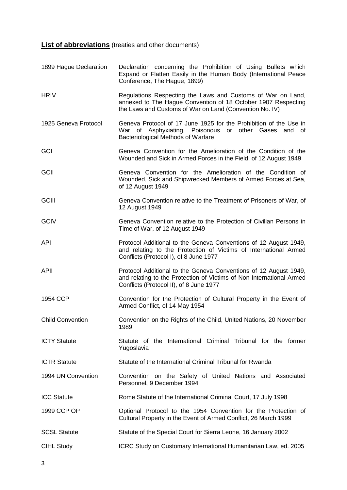**List of abbreviations** (treaties and other documents)

1899 Hague Declaration Declaration concerning the Prohibition of Using Bullets which Expand or Flatten Easily in the Human Body (International Peace Conference, The Hague, 1899) HRIV **Regulations Respecting the Laws and Customs of War on Land,** annexed to The Hague Convention of 18 October 1907 Respecting the Laws and Customs of War on Land (Convention No. IV) 1925 Geneva Protocol Geneva Protocol of 17 June 1925 for the Prohibition of the Use in War of Asphyxiating, Poisonous or other Gases and of Bacteriological Methods of Warfare GCI Geneva Convention for the Amelioration of the Condition of the Wounded and Sick in Armed Forces in the Field, of 12 August 1949 GCII Geneva Convention for the Amelioration of the Condition of Wounded, Sick and Shipwrecked Members of Armed Forces at Sea, of 12 August 1949 GCIII Geneva Convention relative to the Treatment of Prisoners of War, of 12 August 1949 GCIV Geneva Convention relative to the Protection of Civilian Persons in Time of War, of 12 August 1949 API Protocol Additional to the Geneva Conventions of 12 August 1949, and relating to the Protection of Victims of International Armed Conflicts (Protocol I), of 8 June 1977 APII Protocol Additional to the Geneva Conventions of 12 August 1949, and relating to the Protection of Victims of Non-International Armed Conflicts (Protocol II), of 8 June 1977 1954 CCP Convention for the Protection of Cultural Property in the Event of Armed Conflict, of 14 May 1954 Child Convention Convention on the Rights of the Child, United Nations, 20 November 1989 ICTY Statute **Statute** of the International Criminal Tribunal for the former Yugoslavia ICTR Statute Statute of the International Criminal Tribunal for Rwanda 1994 UN Convention Convention on the Safety of United Nations and Associated Personnel, 9 December 1994 ICC Statute **Rome Statute of the International Criminal Court, 17 July 1998** 1999 CCP OP Optional Protocol to the 1954 Convention for the Protection of Cultural Property in the Event of Armed Conflict, 26 March 1999 SCSL Statute Statute of the Special Court for Sierra Leone, 16 January 2002 CIHL Study **ICRC Study on Customary International Humanitarian Law, ed. 2005**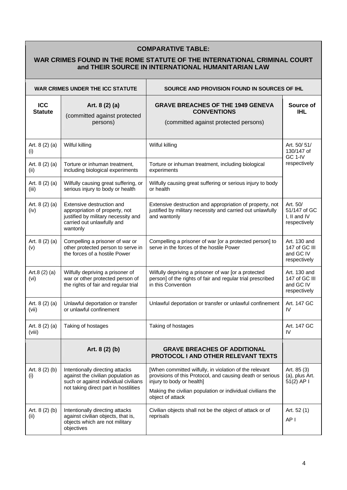### **COMPARATIVE TABLE:**

#### **WAR CRIMES FOUND IN THE ROME STATUTE OF THE INTERNATIONAL CRIMINAL COURT and THEIR SOURCE IN INTERNATIONAL HUMANITARIAN LAW**

| <b>WAR CRIMES UNDER THE ICC STATUTE</b> |                                                                                                                                                        | SOURCE AND PROVISION FOUND IN SOURCES OF IHL                                                                                                                                                                   |                                                            |
|-----------------------------------------|--------------------------------------------------------------------------------------------------------------------------------------------------------|----------------------------------------------------------------------------------------------------------------------------------------------------------------------------------------------------------------|------------------------------------------------------------|
| <b>ICC</b><br><b>Statute</b>            | Art. 8 (2) (a)<br>(committed against protected<br>persons)                                                                                             | <b>GRAVE BREACHES OF THE 1949 GENEVA</b><br><b>CONVENTIONS</b><br>(committed against protected persons)                                                                                                        | Source of<br><b>IHL</b>                                    |
| Art. $8(2)(a)$<br>(i)                   | Wilful killing                                                                                                                                         | Wilful killing                                                                                                                                                                                                 | Art. 50/51/<br>130/147 of                                  |
| Art. $8(2)(a)$<br>(ii)                  | Torture or inhuman treatment,<br>including biological experiments                                                                                      | Torture or inhuman treatment, including biological<br>experiments                                                                                                                                              | GC 1-IV<br>respectively                                    |
| Art. 8 (2) (a)<br>(iii)                 | Wilfully causing great suffering, or<br>serious injury to body or health                                                                               | Wilfully causing great suffering or serious injury to body<br>or health                                                                                                                                        |                                                            |
| Art. $8(2)(a)$<br>(iv)                  | Extensive destruction and<br>appropriation of property, not<br>justified by military necessity and<br>carried out unlawfully and<br>wantonly           | Extensive destruction and appropriation of property, not<br>justified by military necessity and carried out unlawfully<br>and wantonly                                                                         | Art. 50/<br>51/147 of GC<br>I, II and IV<br>respectively   |
| Art. $8(2)(a)$<br>(v)                   | Compelling a prisoner of war or<br>other protected person to serve in<br>the forces of a hostile Power                                                 | Compelling a prisoner of war [or a protected person] to<br>serve in the forces of the hostile Power                                                                                                            | Art. 130 and<br>147 of GC III<br>and GC IV<br>respectively |
| Art.8 $(2)$ $(a)$<br>(vi)               | Wilfully depriving a prisoner of<br>war or other protected person of<br>the rights of fair and regular trial                                           | Wilfully depriving a prisoner of war [or a protected<br>person] of the rights of fair and regular trial prescribed<br>in this Convention                                                                       | Art. 130 and<br>147 of GC III<br>and GC IV<br>respectively |
| Art. $8(2)(a)$<br>(vii)                 | Unlawful deportation or transfer<br>or unlawful confinement                                                                                            | Unlawful deportation or transfer or unlawful confinement                                                                                                                                                       | Art. 147 GC<br>IV                                          |
| Art. $8(2)(a)$<br>(viii)                | Taking of hostages                                                                                                                                     | Taking of hostages                                                                                                                                                                                             | Art. 147 GC<br>IV                                          |
|                                         | Art. 8 (2) (b)                                                                                                                                         | <b>GRAVE BREACHES OF ADDITIONAL</b><br>PROTOCOL I AND OTHER RELEVANT TEXTS                                                                                                                                     |                                                            |
| Art. $8(2)(b)$<br>(i)                   | Intentionally directing attacks<br>against the civilian population as<br>such or against individual civilians<br>not taking direct part in hostilities | [When committed wilfully, in violation of the relevant<br>provisions of this Protocol, and causing death or serious<br>injury to body or health]<br>Making the civilian population or individual civilians the | Art. 85 (3)<br>(a), plus Art.<br>51(2) AP I                |
| Art. $8(2)(b)$<br>(ii)                  | Intentionally directing attacks<br>against civilian objects, that is,<br>objects which are not military<br>objectives                                  | object of attack<br>Civilian objects shall not be the object of attack or of<br>reprisals                                                                                                                      | Art. 52 (1)<br>AP I                                        |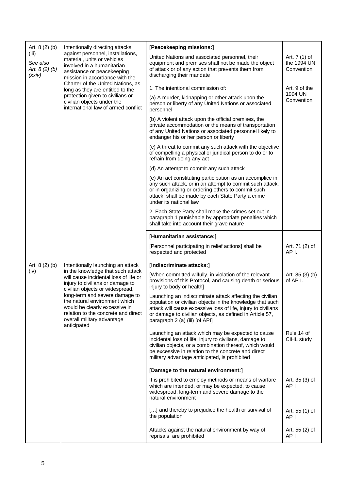| Art. $8(2)(b)$                               | Intentionally directing attacks                                                                                                                                                        | [Peacekeeping missions:]                                                                                                                                                                                                                                                              |                                            |
|----------------------------------------------|----------------------------------------------------------------------------------------------------------------------------------------------------------------------------------------|---------------------------------------------------------------------------------------------------------------------------------------------------------------------------------------------------------------------------------------------------------------------------------------|--------------------------------------------|
| (iii)<br>See also<br>Art. 8 (2) (b)<br>(xxi) | against personnel, installations,<br>material, units or vehicles<br>involved in a humanitarian<br>assistance or peacekeeping<br>mission in accordance with the                         | United Nations and associated personnel, their<br>equipment and premises shall not be made the object<br>of attack or of any action that prevents them from<br>discharging their mandate                                                                                              | Art. 7 (1) of<br>the 1994 UN<br>Convention |
|                                              | Charter of the United Nations, as<br>long as they are entitled to the                                                                                                                  | 1. The intentional commission of:                                                                                                                                                                                                                                                     | Art. 9 of the                              |
|                                              | protection given to civilians or<br>civilian objects under the<br>international law of armed conflict                                                                                  | (a) A murder, kidnapping or other attack upon the<br>person or liberty of any United Nations or associated<br>personnel                                                                                                                                                               | 1994 UN<br>Convention                      |
|                                              |                                                                                                                                                                                        | (b) A violent attack upon the official premises, the<br>private accommodation or the means of transportation<br>of any United Nations or associated personnel likely to<br>endanger his or her person or liberty                                                                      |                                            |
|                                              |                                                                                                                                                                                        | (c) A threat to commit any such attack with the objective<br>of compelling a physical or juridical person to do or to<br>refrain from doing any act                                                                                                                                   |                                            |
|                                              |                                                                                                                                                                                        | (d) An attempt to commit any such attack                                                                                                                                                                                                                                              |                                            |
|                                              |                                                                                                                                                                                        | (e) An act constituting participation as an accomplice in<br>any such attack, or in an attempt to commit such attack,<br>or in organizing or ordering others to commit such<br>attack, shall be made by each State Party a crime<br>under its national law                            |                                            |
|                                              |                                                                                                                                                                                        | 2. Each State Party shall make the crimes set out in<br>paragraph 1 punishable by appropriate penalties which<br>shall take into account their grave nature                                                                                                                           |                                            |
|                                              |                                                                                                                                                                                        | [Humanitarian assistance:]                                                                                                                                                                                                                                                            |                                            |
|                                              |                                                                                                                                                                                        | [Personnel participating in relief actions] shall be<br>respected and protected                                                                                                                                                                                                       | Art. 71 (2) of<br>AP I.                    |
| Art. $8(2)(b)$<br>(iv)                       | Intentionally launching an attack<br>in the knowledge that such attack<br>will cause incidental loss of life or<br>injury to civilians or damage to<br>civilian objects or widespread, | [Indiscriminate attacks:]<br>[When committed wilfully, in violation of the relevant<br>provisions of this Protocol, and causing death or serious<br>injury to body or health]                                                                                                         | Art. 85 (3) (b)<br>of AP I.                |
|                                              | long-term and severe damage to<br>the natural environment which<br>would be clearly excessive in<br>relation to the concrete and direct<br>overall military advantage<br>anticipated   | Launching an indiscriminate attack affecting the civilian<br>population or civilian objects in the knowledge that such<br>attack will cause excessive loss of life, injury to civilians<br>or damage to civilian objects, as defined in Article 57,<br>paragraph 2 (a) (iii) [of API] |                                            |
|                                              |                                                                                                                                                                                        | Launching an attack which may be expected to cause<br>incidental loss of life, injury to civilians, damage to<br>civilian objects, or a combination thereof, which would<br>be excessive in relation to the concrete and direct<br>military advantage anticipated, is prohibited      | Rule 14 of<br>CIHL study                   |
|                                              |                                                                                                                                                                                        | [Damage to the natural environment:]                                                                                                                                                                                                                                                  |                                            |
|                                              |                                                                                                                                                                                        | It is prohibited to employ methods or means of warfare<br>which are intended, or may be expected, to cause<br>widespread, long-term and severe damage to the<br>natural environment                                                                                                   | Art. 35 (3) of<br>AP I                     |
|                                              |                                                                                                                                                                                        | [] and thereby to prejudice the health or survival of<br>the population                                                                                                                                                                                                               | Art. 55 (1) of<br>AP I                     |
|                                              |                                                                                                                                                                                        | Attacks against the natural environment by way of<br>reprisals are prohibited                                                                                                                                                                                                         | Art. 55 (2) of<br>AP I                     |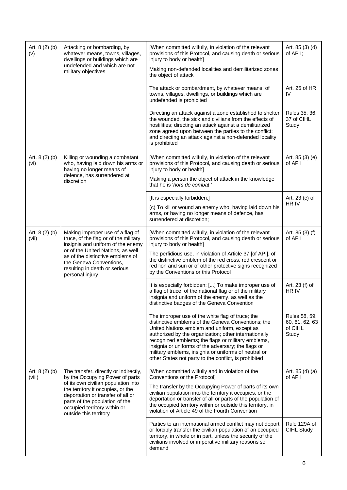| Art. 8 (2) (b)<br>(v)    | Attacking or bombarding, by<br>whatever means, towns, villages,<br>dwellings or buildings which are<br>undefended and which are not<br>military objectives                                                                                                                            | [When committed wilfully, in violation of the relevant<br>provisions of this Protocol, and causing death or serious<br>injury to body or health]<br>Making non-defended localities and demilitarized zones<br>the object of attack                                                                                                                                                                                                            | Art. 85 (3) (d)<br>of AP I;                         |
|--------------------------|---------------------------------------------------------------------------------------------------------------------------------------------------------------------------------------------------------------------------------------------------------------------------------------|-----------------------------------------------------------------------------------------------------------------------------------------------------------------------------------------------------------------------------------------------------------------------------------------------------------------------------------------------------------------------------------------------------------------------------------------------|-----------------------------------------------------|
|                          |                                                                                                                                                                                                                                                                                       | The attack or bombardment, by whatever means, of<br>towns, villages, dwellings, or buildings which are<br>undefended is prohibited                                                                                                                                                                                                                                                                                                            | Art. 25 of HR<br>IV                                 |
|                          |                                                                                                                                                                                                                                                                                       | Directing an attack against a zone established to shelter<br>the wounded, the sick and civilians from the effects of<br>hostilities; directing an attack against a demilitarized<br>zone agreed upon between the parties to the conflict;<br>and directing an attack against a non-defended locality<br>is prohibited                                                                                                                         | Rules 35, 36,<br>37 of CIHL<br>Study                |
| Art. 8 (2) (b)<br>(vi)   | Killing or wounding a combatant<br>who, having laid down his arms or<br>having no longer means of<br>defence, has surrendered at                                                                                                                                                      | [When committed wilfully, in violation of the relevant<br>provisions of this Protocol, and causing death or serious<br>injury to body or health]                                                                                                                                                                                                                                                                                              | Art. 85 (3) (e)<br>of AP I                          |
|                          | discretion                                                                                                                                                                                                                                                                            | Making a person the object of attack in the knowledge<br>that he is 'hors de combat'                                                                                                                                                                                                                                                                                                                                                          |                                                     |
|                          |                                                                                                                                                                                                                                                                                       | [It is especially forbidden:]                                                                                                                                                                                                                                                                                                                                                                                                                 | Art. 23 (c) of<br>HR IV                             |
|                          |                                                                                                                                                                                                                                                                                       | (c) To kill or wound an enemy who, having laid down his<br>arms, or having no longer means of defence, has<br>surrendered at discretion;                                                                                                                                                                                                                                                                                                      |                                                     |
| Art. 8 (2) (b)<br>(vii)  | Making improper use of a flag of<br>truce, of the flag or of the military<br>insignia and uniform of the enemy                                                                                                                                                                        | [When committed wilfully, in violation of the relevant<br>provisions of this Protocol, and causing death or serious<br>injury to body or health]                                                                                                                                                                                                                                                                                              | Art. 85 (3) (f)<br>of AP I                          |
|                          | or of the United Nations, as well<br>as of the distinctive emblems of<br>the Geneva Conventions,<br>resulting in death or serious<br>personal injury                                                                                                                                  | The perfidious use, in violation of Article 37 [of API], of<br>the distinctive emblem of the red cross, red crescent or<br>red lion and sun or of other protective signs recognized<br>by the Conventions or this Protocol                                                                                                                                                                                                                    |                                                     |
|                          |                                                                                                                                                                                                                                                                                       | It is especially forbidden: [] To make improper use of<br>a flag of truce, of the national flag or of the military<br>insignia and uniform of the enemy, as well as the<br>distinctive badges of the Geneva Convention                                                                                                                                                                                                                        | Art. 23 (f) of<br>HR IV                             |
|                          |                                                                                                                                                                                                                                                                                       | The improper use of the white flag of truce; the<br>distinctive emblems of the Geneva Conventions; the<br>United Nations emblem and uniform, except as<br>authorized by the organization; other internationally<br>recognized emblems; the flags or military emblems,<br>insignia or uniforms of the adversary; the flags or<br>military emblems, insignia or uniforms of neutral or<br>other States not party to the conflict, is prohibited | Rules 58, 59,<br>60, 61, 62, 63<br>of CIHL<br>Study |
| Art. $8(2)(b)$<br>(viii) | The transfer, directly or indirectly,<br>by the Occupying Power of parts<br>of its own civilian population into<br>the territory it occupies, or the<br>deportation or transfer of all or<br>parts of the population of the<br>occupied territory within or<br>outside this territory | [When committed wilfully and in violation of the<br>Conventions or the Protocol]<br>The transfer by the Occupying Power of parts of its own<br>civilian population into the territory it occupies, or the<br>deportation or transfer of all or parts of the population of<br>the occupied territory within or outside this territory, in<br>violation of Article 49 of the Fourth Convention                                                  | Art. $85(4)(a)$<br>of AP I                          |
|                          |                                                                                                                                                                                                                                                                                       | Parties to an international armed conflict may not deport<br>or forcibly transfer the civilian population of an occupied<br>territory, in whole or in part, unless the security of the<br>civilians involved or imperative military reasons so<br>demand                                                                                                                                                                                      | Rule 129A of<br>CIHL Study                          |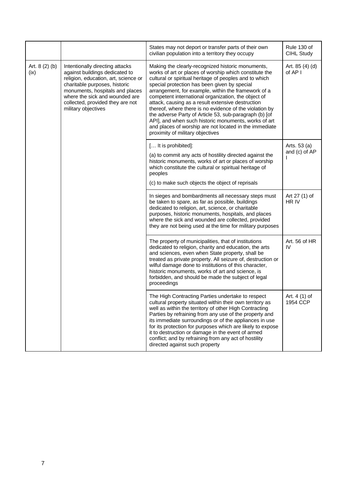|                        |                                                                                                                                                                                                                                                                            | States may not deport or transfer parts of their own<br>civilian population into a territory they occupy                                                                                                                                                                                                                                                                                                                                                                                                                                                                                                                                                            | Rule 130 of<br>CIHL Study     |
|------------------------|----------------------------------------------------------------------------------------------------------------------------------------------------------------------------------------------------------------------------------------------------------------------------|---------------------------------------------------------------------------------------------------------------------------------------------------------------------------------------------------------------------------------------------------------------------------------------------------------------------------------------------------------------------------------------------------------------------------------------------------------------------------------------------------------------------------------------------------------------------------------------------------------------------------------------------------------------------|-------------------------------|
| Art. 8 (2) (b)<br>(ix) | Intentionally directing attacks<br>against buildings dedicated to<br>religion, education, art, science or<br>charitable purposes, historic<br>monuments, hospitals and places<br>where the sick and wounded are<br>collected, provided they are not<br>military objectives | Making the clearly-recognized historic monuments,<br>works of art or places of worship which constitute the<br>cultural or spiritual heritage of peoples and to which<br>special protection has been given by special<br>arrangement, for example, within the framework of a<br>competent international organization, the object of<br>attack, causing as a result extensive destruction<br>thereof, where there is no evidence of the violation by<br>the adverse Party of Article 53, sub-paragraph (b) [of<br>API], and when such historic monuments, works of art<br>and places of worship are not located in the immediate<br>proximity of military objectives | Art. 85 (4) (d)<br>of AP I    |
|                        |                                                                                                                                                                                                                                                                            | [ It is prohibited]:<br>(a) to commit any acts of hostility directed against the<br>historic monuments, works of art or places of worship<br>which constitute the cultural or spiritual heritage of<br>peoples<br>(c) to make such objects the object of reprisals                                                                                                                                                                                                                                                                                                                                                                                                  | Arts. 53 (a)<br>and (c) of AP |
|                        |                                                                                                                                                                                                                                                                            | In sieges and bombardments all necessary steps must<br>be taken to spare, as far as possible, buildings<br>dedicated to religion, art, science, or charitable<br>purposes, historic monuments, hospitals, and places<br>where the sick and wounded are collected, provided<br>they are not being used at the time for military purposes                                                                                                                                                                                                                                                                                                                             | Art 27 (1) of<br>HR IV        |
|                        |                                                                                                                                                                                                                                                                            | The property of municipalities, that of institutions<br>dedicated to religion, charity and education, the arts<br>and sciences, even when State property, shall be<br>treated as private property. All seizure of, destruction or<br>wilful damage done to institutions of this character,<br>historic monuments, works of art and science, is<br>forbidden, and should be made the subject of legal<br>proceedings                                                                                                                                                                                                                                                 | Art. 56 of HR<br>IV           |
|                        |                                                                                                                                                                                                                                                                            | The High Contracting Parties undertake to respect<br>cultural property situated within their own territory as<br>well as within the territory of other High Contracting<br>Parties by refraining from any use of the property and<br>its immediate surroundings or of the appliances in use<br>for its protection for purposes which are likely to expose<br>it to destruction or damage in the event of armed<br>conflict; and by refraining from any act of hostility<br>directed against such property                                                                                                                                                           | Art. 4 (1) of<br>1954 CCP     |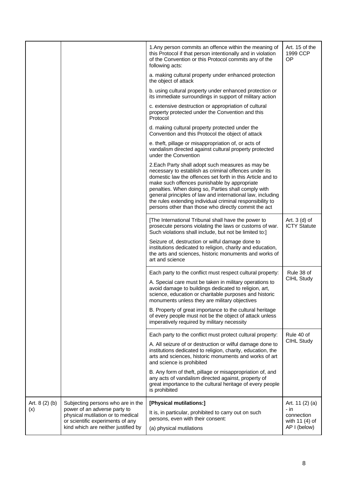|                                                                                                                     |                                   | 1. Any person commits an offence within the meaning of                                                                                                                                                                                                                                                                                                                                                                                                             | Art. 15 of the                         |
|---------------------------------------------------------------------------------------------------------------------|-----------------------------------|--------------------------------------------------------------------------------------------------------------------------------------------------------------------------------------------------------------------------------------------------------------------------------------------------------------------------------------------------------------------------------------------------------------------------------------------------------------------|----------------------------------------|
|                                                                                                                     |                                   | this Protocol if that person intentionally and in violation<br>of the Convention or this Protocol commits any of the<br>following acts:                                                                                                                                                                                                                                                                                                                            | 1999 CCP<br>OP                         |
|                                                                                                                     |                                   | a. making cultural property under enhanced protection<br>the object of attack                                                                                                                                                                                                                                                                                                                                                                                      |                                        |
|                                                                                                                     |                                   | b. using cultural property under enhanced protection or<br>its immediate surroundings in support of military action                                                                                                                                                                                                                                                                                                                                                |                                        |
|                                                                                                                     |                                   | c. extensive destruction or appropriation of cultural<br>property protected under the Convention and this<br>Protocol                                                                                                                                                                                                                                                                                                                                              |                                        |
|                                                                                                                     |                                   | d. making cultural property protected under the<br>Convention and this Protocol the object of attack                                                                                                                                                                                                                                                                                                                                                               |                                        |
|                                                                                                                     |                                   | e. theft, pillage or misappropriation of, or acts of<br>vandalism directed against cultural property protected<br>under the Convention                                                                                                                                                                                                                                                                                                                             |                                        |
|                                                                                                                     |                                   | 2. Each Party shall adopt such measures as may be<br>necessary to establish as criminal offences under its<br>domestic law the offences set forth in this Article and to<br>make such offences punishable by appropriate<br>penalties. When doing so, Parties shall comply with<br>general principles of law and international law, including<br>the rules extending individual criminal responsibility to<br>persons other than those who directly commit the act |                                        |
|                                                                                                                     |                                   | [The International Tribunal shall have the power to<br>prosecute persons violating the laws or customs of war.<br>Such violations shall include, but not be limited to:]                                                                                                                                                                                                                                                                                           | Art. $3$ (d) of<br><b>ICTY Statute</b> |
|                                                                                                                     |                                   | Seizure of, destruction or wilful damage done to<br>institutions dedicated to religion, charity and education,<br>the arts and sciences, historic monuments and works of<br>art and science                                                                                                                                                                                                                                                                        |                                        |
|                                                                                                                     |                                   | Each party to the conflict must respect cultural property:                                                                                                                                                                                                                                                                                                                                                                                                         | Rule 38 of                             |
|                                                                                                                     |                                   | A. Special care must be taken in military operations to<br>avoid damage to buildings dedicated to religion, art,<br>science, education or charitable purposes and historic<br>monuments unless they are military objectives                                                                                                                                                                                                                                        | CIHL Study                             |
|                                                                                                                     |                                   | B. Property of great importance to the cultural heritage<br>of every people must not be the object of attack unless<br>imperatively required by military necessity                                                                                                                                                                                                                                                                                                 |                                        |
|                                                                                                                     |                                   | Each party to the conflict must protect cultural property:                                                                                                                                                                                                                                                                                                                                                                                                         | Rule 40 of                             |
|                                                                                                                     |                                   | A. All seizure of or destruction or wilful damage done to<br>institutions dedicated to religion, charity, education, the<br>arts and sciences, historic monuments and works of art<br>and science is prohibited                                                                                                                                                                                                                                                    | CIHL Study                             |
|                                                                                                                     |                                   | B. Any form of theft, pillage or misappropriation of, and<br>any acts of vandalism directed against, property of<br>great importance to the cultural heritage of every people<br>is prohibited                                                                                                                                                                                                                                                                     |                                        |
| Art. $8(2)(b)$                                                                                                      | Subjecting persons who are in the | [Physical mutilations:]                                                                                                                                                                                                                                                                                                                                                                                                                                            | Art. 11 (2) (a)                        |
| (x)<br>physical mutilation or to medical<br>or scientific experiments of any<br>kind which are neither justified by | power of an adverse party to      | It is, in particular, prohibited to carry out on such<br>persons, even with their consent:                                                                                                                                                                                                                                                                                                                                                                         | - in<br>connection<br>with 11 (4) of   |
|                                                                                                                     | (a) physical mutilations          | AP I (below)                                                                                                                                                                                                                                                                                                                                                                                                                                                       |                                        |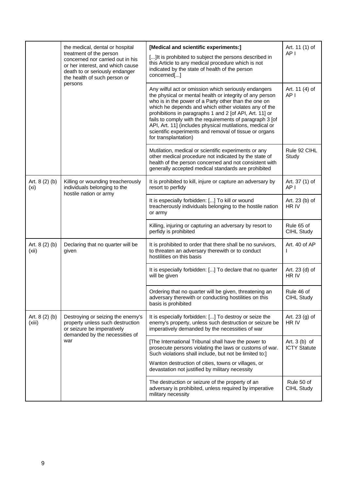|                          | the medical, dental or hospital<br>treatment of the person<br>concerned nor carried out in his<br>or her interest, and which cause<br>death to or seriously endanger<br>the health of such person or | [Medical and scientific experiments:]<br>[] It is prohibited to subject the persons described in<br>this Article to any medical procedure which is not<br>indicated by the state of health of the person<br>concerned[]                                                                                                                                                                                                                                                                                | Art. 11 (1) of<br>AP I                |
|--------------------------|------------------------------------------------------------------------------------------------------------------------------------------------------------------------------------------------------|--------------------------------------------------------------------------------------------------------------------------------------------------------------------------------------------------------------------------------------------------------------------------------------------------------------------------------------------------------------------------------------------------------------------------------------------------------------------------------------------------------|---------------------------------------|
|                          | persons                                                                                                                                                                                              | Any wilful act or omission which seriously endangers<br>the physical or mental health or integrity of any person<br>who is in the power of a Party other than the one on<br>which he depends and which either violates any of the<br>prohibitions in paragraphs 1 and 2 [of API, Art. 11] or<br>fails to comply with the requirements of paragraph 3 [of<br>API, Art. 11] (includes physical mutilations, medical or<br>scientific experiments and removal of tissue or organs<br>for transplantation) | Art. 11 (4) of<br>AP I                |
|                          |                                                                                                                                                                                                      | Mutilation, medical or scientific experiments or any<br>other medical procedure not indicated by the state of<br>health of the person concerned and not consistent with<br>generally accepted medical standards are prohibited                                                                                                                                                                                                                                                                         | Rule 92 CIHL<br>Study                 |
| Art. 8 (2) (b)<br>(xi)   | Killing or wounding treacherously<br>individuals belonging to the<br>hostile nation or army                                                                                                          | It is prohibited to kill, injure or capture an adversary by<br>resort to perfidy                                                                                                                                                                                                                                                                                                                                                                                                                       | Art. 37 (1) of<br>AP I                |
|                          |                                                                                                                                                                                                      | It is especially forbidden: [] To kill or wound<br>treacherously individuals belonging to the hostile nation<br>or army                                                                                                                                                                                                                                                                                                                                                                                | Art. 23 (b) of<br>HR IV               |
|                          |                                                                                                                                                                                                      | Killing, injuring or capturing an adversary by resort to<br>perfidy is prohibited                                                                                                                                                                                                                                                                                                                                                                                                                      | Rule 65 of<br>CIHL Study              |
| Art. 8 (2) (b)<br>(xii)  | Declaring that no quarter will be<br>given                                                                                                                                                           | It is prohibited to order that there shall be no survivors,<br>to threaten an adversary therewith or to conduct<br>hostilities on this basis                                                                                                                                                                                                                                                                                                                                                           | Art. 40 of AP<br>I                    |
|                          |                                                                                                                                                                                                      | It is especially forbidden: [] To declare that no quarter<br>will be given                                                                                                                                                                                                                                                                                                                                                                                                                             | Art. 23 (d) of<br>HR IV               |
|                          |                                                                                                                                                                                                      | Ordering that no quarter will be given, threatening an<br>adversary therewith or conducting hostilities on this<br>basis is prohibited                                                                                                                                                                                                                                                                                                                                                                 | Rule 46 of<br>CIHL Study              |
| Art. $8(2)(b)$<br>(xiii) | Destroying or seizing the enemy's<br>property unless such destruction<br>or seizure be imperatively<br>demanded by the necessities of<br>war                                                         | It is especially forbidden: [] To destroy or seize the<br>enemy's property, unless such destruction or seizure be<br>imperatively demanded by the necessities of war                                                                                                                                                                                                                                                                                                                                   | Art. 23 (g) of<br>HR IV               |
|                          |                                                                                                                                                                                                      | [The International Tribunal shall have the power to<br>prosecute persons violating the laws or customs of war.<br>Such violations shall include, but not be limited to:]                                                                                                                                                                                                                                                                                                                               | Art. $3(b)$ of<br><b>ICTY Statute</b> |
|                          |                                                                                                                                                                                                      | Wanton destruction of cities, towns or villages, or<br>devastation not justified by military necessity                                                                                                                                                                                                                                                                                                                                                                                                 |                                       |
|                          |                                                                                                                                                                                                      | The destruction or seizure of the property of an<br>adversary is prohibited, unless required by imperative<br>military necessity                                                                                                                                                                                                                                                                                                                                                                       | Rule 50 of<br>CIHL Study              |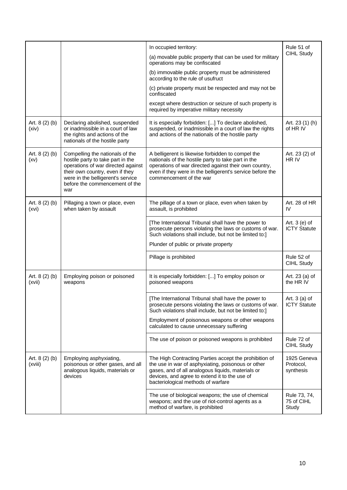|                           |                                                                                                                                                                                                                             | In occupied territory:<br>(a) movable public property that can be used for military<br>operations may be confiscated<br>(b) immovable public property must be administered<br>according to the rule of usufruct<br>(c) private property must be respected and may not be<br>confiscated<br>except where destruction or seizure of such property is<br>required by imperative military necessity | Rule 51 of<br>CIHL Study               |
|---------------------------|-----------------------------------------------------------------------------------------------------------------------------------------------------------------------------------------------------------------------------|-------------------------------------------------------------------------------------------------------------------------------------------------------------------------------------------------------------------------------------------------------------------------------------------------------------------------------------------------------------------------------------------------|----------------------------------------|
| Art. 8 (2) (b)<br>(xiv)   | Declaring abolished, suspended<br>or inadmissible in a court of law<br>the rights and actions of the<br>nationals of the hostile party                                                                                      | It is especially forbidden: [] To declare abolished,<br>suspended, or inadmissible in a court of law the rights<br>and actions of the nationals of the hostile party                                                                                                                                                                                                                            | Art. 23 (1) (h)<br>of HR IV            |
| Art. 8 (2) (b)<br>(xv)    | Compelling the nationals of the<br>hostile party to take part in the<br>operations of war directed against<br>their own country, even if they<br>were in the belligerent's service<br>before the commencement of the<br>war | A belligerent is likewise forbidden to compel the<br>nationals of the hostile party to take part in the<br>operations of war directed against their own country,<br>even if they were in the belligerent's service before the<br>commencement of the war                                                                                                                                        | Art. 23 (2) of<br>HR IV                |
| Art. 8 (2) (b)<br>(xvi)   | Pillaging a town or place, even<br>when taken by assault                                                                                                                                                                    | The pillage of a town or place, even when taken by<br>assault, is prohibited                                                                                                                                                                                                                                                                                                                    | Art. 28 of HR<br>IV                    |
|                           |                                                                                                                                                                                                                             | [The International Tribunal shall have the power to<br>prosecute persons violating the laws or customs of war.<br>Such violations shall include, but not be limited to:]<br>Plunder of public or private property                                                                                                                                                                               | Art. 3 (e) of<br><b>ICTY Statute</b>   |
|                           |                                                                                                                                                                                                                             | Pillage is prohibited                                                                                                                                                                                                                                                                                                                                                                           | Rule 52 of<br>CIHL Study               |
| Art. 8 (2) (b)<br>(xvii)  | Employing poison or poisoned<br>weapons                                                                                                                                                                                     | It is especially forbidden: [] To employ poison or<br>poisoned weapons                                                                                                                                                                                                                                                                                                                          | Art. 23 (a) of<br>the HR IV            |
|                           |                                                                                                                                                                                                                             | [The International Tribunal shall have the power to<br>prosecute persons violating the laws or customs of war.<br>Such violations shall include, but not be limited to:]<br>Employment of poisonous weapons or other weapons<br>calculated to cause unnecessary suffering                                                                                                                       | Art. $3$ (a) of<br><b>ICTY Statute</b> |
|                           |                                                                                                                                                                                                                             | The use of poison or poisoned weapons is prohibited                                                                                                                                                                                                                                                                                                                                             | Rule 72 of<br>CIHL Study               |
| Art. $8(2)(b)$<br>(xviii) | Employing asphyxiating,<br>poisonous or other gases, and all<br>analogous liquids, materials or<br>devices                                                                                                                  | The High Contracting Parties accept the prohibition of<br>the use in war of asphyxiating, poisonous or other<br>gases, and of all analogous liquids, materials or<br>devices, and agree to extend it to the use of<br>bacteriological methods of warfare                                                                                                                                        | 1925 Geneva<br>Protocol.<br>synthesis  |
|                           |                                                                                                                                                                                                                             | The use of biological weapons; the use of chemical<br>weapons; and the use of riot-control agents as a<br>method of warfare, is prohibited                                                                                                                                                                                                                                                      | Rule 73, 74,<br>75 of CIHL<br>Study    |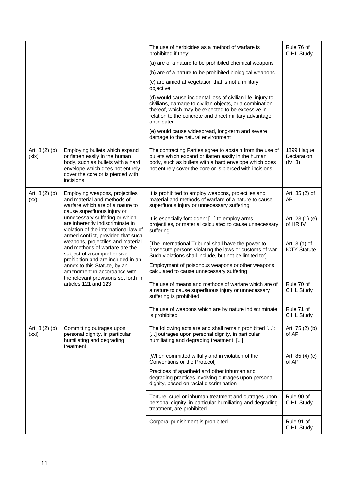|                         |                                                                                                                                                                                                                                                                                                                                                              | The use of herbicides as a method of warfare is<br>prohibited if they:                                                                                                                                                                               | Rule 76 of<br>CIHL Study               |
|-------------------------|--------------------------------------------------------------------------------------------------------------------------------------------------------------------------------------------------------------------------------------------------------------------------------------------------------------------------------------------------------------|------------------------------------------------------------------------------------------------------------------------------------------------------------------------------------------------------------------------------------------------------|----------------------------------------|
|                         |                                                                                                                                                                                                                                                                                                                                                              | (a) are of a nature to be prohibited chemical weapons                                                                                                                                                                                                |                                        |
|                         |                                                                                                                                                                                                                                                                                                                                                              | (b) are of a nature to be prohibited biological weapons                                                                                                                                                                                              |                                        |
|                         |                                                                                                                                                                                                                                                                                                                                                              | (c) are aimed at vegetation that is not a military<br>objective                                                                                                                                                                                      |                                        |
|                         |                                                                                                                                                                                                                                                                                                                                                              | (d) would cause incidental loss of civilian life, injury to<br>civilians, damage to civilian objects, or a combination<br>thereof, which may be expected to be excessive in<br>relation to the concrete and direct military advantage<br>anticipated |                                        |
|                         |                                                                                                                                                                                                                                                                                                                                                              | (e) would cause widespread, long-term and severe<br>damage to the natural environment                                                                                                                                                                |                                        |
| Art. 8 (2) (b)<br>(xix) | Employing bullets which expand<br>or flatten easily in the human<br>body, such as bullets with a hard<br>envelope which does not entirely<br>cover the core or is pierced with<br>incisions                                                                                                                                                                  | The contracting Parties agree to abstain from the use of<br>bullets which expand or flatten easily in the human<br>body, such as bullets with a hard envelope which does<br>not entirely cover the core or is pierced with incisions                 | 1899 Hague<br>Declaration<br>(IV, 3)   |
| Art. $8(2)(b)$<br>(xx)  | Employing weapons, projectiles<br>and material and methods of<br>warfare which are of a nature to<br>cause superfluous injury or                                                                                                                                                                                                                             | It is prohibited to employ weapons, projectiles and<br>material and methods of warfare of a nature to cause<br>superfluous injury or unnecessary suffering                                                                                           | Art. 35 (2) of<br>AP I                 |
|                         | unnecessary suffering or which<br>are inherently indiscriminate in<br>violation of the international law of<br>armed conflict, provided that such<br>weapons, projectiles and material<br>and methods of warfare are the<br>subject of a comprehensive<br>prohibition and are included in an<br>annex to this Statute, by an<br>amendment in accordance with | It is especially forbidden: [] to employ arms,<br>projectiles, or material calculated to cause unnecessary<br>suffering                                                                                                                              | Art. 23 (1) (e)<br>of HR IV            |
|                         |                                                                                                                                                                                                                                                                                                                                                              | [The International Tribunal shall have the power to<br>prosecute persons violating the laws or customs of war.<br>Such violations shall include, but not be limited to:]                                                                             | Art. $3$ (a) of<br><b>ICTY Statute</b> |
|                         |                                                                                                                                                                                                                                                                                                                                                              | Employment of poisonous weapons or other weapons<br>calculated to cause unnecessary suffering                                                                                                                                                        |                                        |
|                         | the relevant provisions set forth in<br>articles 121 and 123                                                                                                                                                                                                                                                                                                 | The use of means and methods of warfare which are of<br>a nature to cause superfluous injury or unnecessary<br>suffering is prohibited                                                                                                               | Rule 70 of<br>CIHL Study               |
|                         |                                                                                                                                                                                                                                                                                                                                                              | The use of weapons which are by nature indiscriminate<br>is prohibited                                                                                                                                                                               | Rule 71 of<br>CIHL Study               |
| Art. 8 (2) (b)<br>(xxi) | Committing outrages upon<br>personal dignity, in particular<br>humiliating and degrading<br>treatment                                                                                                                                                                                                                                                        | The following acts are and shall remain prohibited []:<br>[] outrages upon personal dignity, in particular<br>humiliating and degrading treatment []                                                                                                 | Art. 75 (2) (b)<br>of AP I             |
|                         |                                                                                                                                                                                                                                                                                                                                                              | [When committed wilfully and in violation of the<br>Conventions or the Protocol]                                                                                                                                                                     | Art. $85(4)(c)$<br>of AP I             |
|                         |                                                                                                                                                                                                                                                                                                                                                              | Practices of apartheid and other inhuman and<br>degrading practices involving outrages upon personal<br>dignity, based on racial discrimination                                                                                                      |                                        |
|                         |                                                                                                                                                                                                                                                                                                                                                              | Torture, cruel or inhuman treatment and outrages upon<br>personal dignity, in particular humiliating and degrading<br>treatment, are prohibited                                                                                                      | Rule 90 of<br>CIHL Study               |
|                         |                                                                                                                                                                                                                                                                                                                                                              | Corporal punishment is prohibited                                                                                                                                                                                                                    | Rule 91 of<br>CIHL Study               |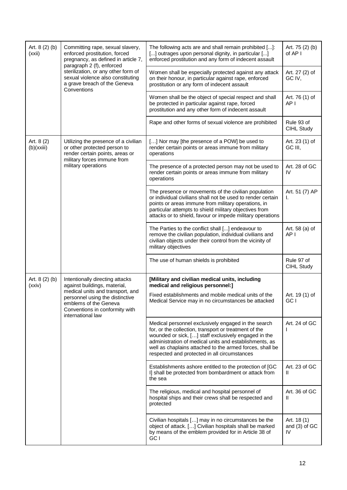| Art. 8 (2) (b)<br>(xxii) | Committing rape, sexual slavery,<br>enforced prostitution, forced<br>pregnancy, as defined in article 7,<br>paragraph 2 (f), enforced               | The following acts are and shall remain prohibited []:<br>[] outrages upon personal dignity, in particular []<br>enforced prostitution and any form of indecent assault                                                                                                                                                                    | Art. 75 (2) (b)<br>of AP I        |
|--------------------------|-----------------------------------------------------------------------------------------------------------------------------------------------------|--------------------------------------------------------------------------------------------------------------------------------------------------------------------------------------------------------------------------------------------------------------------------------------------------------------------------------------------|-----------------------------------|
|                          | sterilization, or any other form of<br>sexual violence also constituting<br>a grave breach of the Geneva<br>Conventions                             | Women shall be especially protected against any attack<br>on their honour, in particular against rape, enforced<br>prostitution or any form of indecent assault                                                                                                                                                                            | Art. 27 (2) of<br>GC IV,          |
|                          |                                                                                                                                                     | Women shall be the object of special respect and shall<br>be protected in particular against rape, forced<br>prostitution and any other form of indecent assault                                                                                                                                                                           | Art. 76 (1) of<br>AP <sub>I</sub> |
|                          |                                                                                                                                                     | Rape and other forms of sexual violence are prohibited                                                                                                                                                                                                                                                                                     | Rule 93 of<br>CIHL Study          |
| Art. 8 (2)<br>(b)(xxiii) | Utilizing the presence of a civilian<br>or other protected person to<br>render certain points, areas or<br>military forces immune from              | [] Nor may [the presence of a POW] be used to<br>render certain points or areas immune from military<br>operations                                                                                                                                                                                                                         | Art. 23 (1) of<br>GC III,         |
|                          | military operations                                                                                                                                 | The presence of a protected person may not be used to<br>render certain points or areas immune from military<br>operations                                                                                                                                                                                                                 | Art. 28 of GC<br>IV               |
|                          |                                                                                                                                                     | The presence or movements of the civilian population<br>or individual civilians shall not be used to render certain<br>points or areas immune from military operations, in<br>particular attempts to shield military objectives from<br>attacks or to shield, favour or impede military operations                                         | Art. 51 (7) AP<br>ı.              |
|                          |                                                                                                                                                     | The Parties to the conflict shall [] endeavour to<br>remove the civilian population, individual civilians and<br>civilian objects under their control from the vicinity of<br>military objectives                                                                                                                                          | Art. 58 (a) of<br>AP I            |
|                          |                                                                                                                                                     | The use of human shields is prohibited                                                                                                                                                                                                                                                                                                     | Rule 97 of<br>CIHL Study          |
| Art. $8(2)(b)$<br>(xxiv) | Intentionally directing attacks<br>against buildings, material,                                                                                     | [Military and civilian medical units, including<br>medical and religious personnel:]                                                                                                                                                                                                                                                       |                                   |
|                          | medical units and transport, and<br>personnel using the distinctive<br>emblems of the Geneva<br>Conventions in conformity with<br>international law | Fixed establishments and mobile medical units of the<br>Medical Service may in no circumstances be attacked                                                                                                                                                                                                                                | Art. 19 (1) of<br>GC I            |
|                          |                                                                                                                                                     | Medical personnel exclusively engaged in the search<br>for, or the collection, transport or treatment of the<br>wounded or sick, [] staff exclusively engaged in the<br>administration of medical units and establishments, as<br>well as chaplains attached to the armed forces, shall be<br>respected and protected in all circumstances | Art. 24 of GC                     |
|                          |                                                                                                                                                     | Establishments ashore entitled to the protection of [GC<br>I] shall be protected from bombardment or attack from<br>the sea                                                                                                                                                                                                                | Art. 23 of GC<br>Ш                |
|                          |                                                                                                                                                     | The religious, medical and hospital personnel of<br>hospital ships and their crews shall be respected and<br>protected                                                                                                                                                                                                                     | Art. 36 of GC<br>Ш                |
|                          |                                                                                                                                                     | Civilian hospitals [] may in no circumstances be the<br>object of attack. [] Civilian hospitals shall be marked<br>by means of the emblem provided for in Article 38 of<br>GC I                                                                                                                                                            | Art. 18(1)<br>and (3) of GC<br>IV |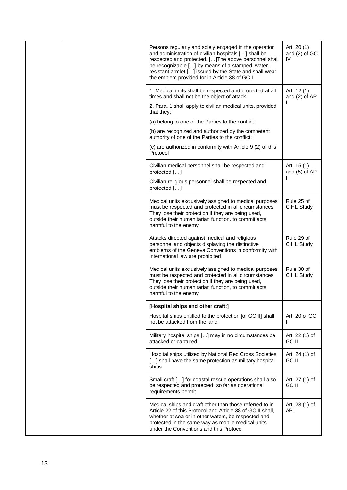|  | Persons regularly and solely engaged in the operation<br>and administration of civilian hospitals [] shall be<br>respected and protected. [] The above personnel shall<br>be recognizable [] by means of a stamped, water-<br>resistant armlet [] issued by the State and shall wear<br>the emblem provided for in Article 38 of GC I | Art. 20 (1)<br>and (2) of GC<br>IV |
|--|---------------------------------------------------------------------------------------------------------------------------------------------------------------------------------------------------------------------------------------------------------------------------------------------------------------------------------------|------------------------------------|
|  | 1. Medical units shall be respected and protected at all<br>times and shall not be the object of attack                                                                                                                                                                                                                               | Art. 12 (1)<br>and (2) of AP       |
|  | 2. Para. 1 shall apply to civilian medical units, provided<br>that they:                                                                                                                                                                                                                                                              |                                    |
|  | (a) belong to one of the Parties to the conflict                                                                                                                                                                                                                                                                                      |                                    |
|  | (b) are recognized and authorized by the competent<br>authority of one of the Parties to the conflict;                                                                                                                                                                                                                                |                                    |
|  | (c) are authorized in conformity with Article 9 (2) of this<br>Protocol                                                                                                                                                                                                                                                               |                                    |
|  | Civilian medical personnel shall be respected and<br>protected []                                                                                                                                                                                                                                                                     | Art. 15 (1)<br>and (5) of AP       |
|  | Civilian religious personnel shall be respected and<br>protected []                                                                                                                                                                                                                                                                   |                                    |
|  | Medical units exclusively assigned to medical purposes<br>must be respected and protected in all circumstances.<br>They lose their protection if they are being used,<br>outside their humanitarian function, to commit acts<br>harmful to the enemy                                                                                  | Rule 25 of<br>CIHL Study           |
|  | Attacks directed against medical and religious<br>personnel and objects displaying the distinctive<br>emblems of the Geneva Conventions in conformity with<br>international law are prohibited                                                                                                                                        | Rule 29 of<br>CIHL Study           |
|  | Medical units exclusively assigned to medical purposes<br>must be respected and protected in all circumstances.<br>They lose their protection if they are being used,<br>outside their humanitarian function, to commit acts<br>harmful to the enemy                                                                                  | Rule 30 of<br>CIHL Study           |
|  | [Hospital ships and other craft:]                                                                                                                                                                                                                                                                                                     |                                    |
|  | Hospital ships entitled to the protection [of GC II] shall<br>not be attacked from the land                                                                                                                                                                                                                                           | Art. 20 of GC                      |
|  | Military hospital ships [] may in no circumstances be<br>attacked or captured                                                                                                                                                                                                                                                         | Art. 22 (1) of<br>GC II            |
|  | Hospital ships utilized by National Red Cross Societies<br>[] shall have the same protection as military hospital<br>ships                                                                                                                                                                                                            | Art. 24 (1) of<br>GC II            |
|  | Small craft [] for coastal rescue operations shall also<br>be respected and protected, so far as operational<br>requirements permit                                                                                                                                                                                                   | Art. 27 (1) of<br>GC II            |
|  | Medical ships and craft other than those referred to in<br>Article 22 of this Protocol and Article 38 of GC II shall,<br>whether at sea or in other waters, be respected and<br>protected in the same way as mobile medical units<br>under the Conventions and this Protocol                                                          | Art. 23 (1) of<br>AP I             |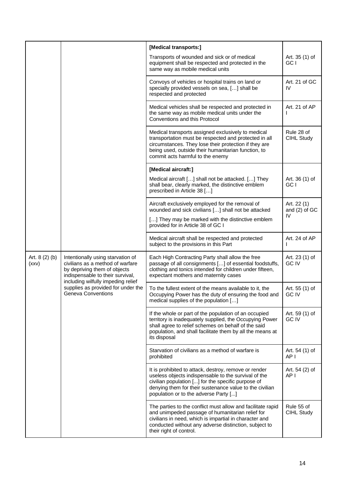|                         |                                                                                                                                                                                                                                                    | [Medical transports:]                                                                                                                                                                                                                                                   |                                |
|-------------------------|----------------------------------------------------------------------------------------------------------------------------------------------------------------------------------------------------------------------------------------------------|-------------------------------------------------------------------------------------------------------------------------------------------------------------------------------------------------------------------------------------------------------------------------|--------------------------------|
|                         |                                                                                                                                                                                                                                                    | Transports of wounded and sick or of medical<br>equipment shall be respected and protected in the<br>same way as mobile medical units                                                                                                                                   | Art. 35 (1) of<br>GC I         |
|                         |                                                                                                                                                                                                                                                    | Convoys of vehicles or hospital trains on land or<br>specially provided vessels on sea, [] shall be<br>respected and protected                                                                                                                                          | Art. 21 of GC<br>IV            |
|                         |                                                                                                                                                                                                                                                    | Medical vehicles shall be respected and protected in<br>the same way as mobile medical units under the<br>Conventions and this Protocol                                                                                                                                 | Art. 21 of AP                  |
|                         |                                                                                                                                                                                                                                                    | Medical transports assigned exclusively to medical<br>transportation must be respected and protected in all<br>circumstances. They lose their protection if they are<br>being used, outside their humanitarian function, to<br>commit acts harmful to the enemy         | Rule 28 of<br>CIHL Study       |
|                         |                                                                                                                                                                                                                                                    | [Medical aircraft:]                                                                                                                                                                                                                                                     |                                |
|                         |                                                                                                                                                                                                                                                    | Medical aircraft [] shall not be attacked. [] They<br>shall bear, clearly marked, the distinctive emblem<br>prescribed in Article 38 []                                                                                                                                 | Art. 36 (1) of<br>GC I         |
|                         |                                                                                                                                                                                                                                                    | Aircraft exclusively employed for the removal of<br>wounded and sick civilians [] shall not be attacked                                                                                                                                                                 | Art. 22 (1)<br>and (2) of GC   |
|                         |                                                                                                                                                                                                                                                    | [] They may be marked with the distinctive emblem<br>provided for in Article 38 of GC I                                                                                                                                                                                 | IV                             |
|                         |                                                                                                                                                                                                                                                    | Medical aircraft shall be respected and protected<br>subject to the provisions in this Part                                                                                                                                                                             | Art. 24 of AP                  |
| Art. $8(2)(b)$<br>(xxV) | Intentionally using starvation of<br>civilians as a method of warfare<br>by depriving them of objects<br>indispensable to their survival,<br>including wilfully impeding relief<br>supplies as provided for under the<br><b>Geneva Conventions</b> | Each High Contracting Party shall allow the free<br>passage of all consignments [] of essential foodstuffs,<br>clothing and tonics intended for children under fifteen,<br>expectant mothers and maternity cases                                                        | Art. 23 (1) of<br><b>GC IV</b> |
|                         |                                                                                                                                                                                                                                                    | To the fullest extent of the means available to it, the<br>Occupying Power has the duty of ensuring the food and<br>medical supplies of the population []                                                                                                               | Art. 55 (1) of<br>GC IV        |
|                         |                                                                                                                                                                                                                                                    | If the whole or part of the population of an occupied<br>territory is inadequately supplied, the Occupying Power<br>shall agree to relief schemes on behalf of the said<br>population, and shall facilitate them by all the means at<br>its disposal                    | Art. 59 (1) of<br><b>GC IV</b> |
|                         |                                                                                                                                                                                                                                                    | Starvation of civilians as a method of warfare is<br>prohibited                                                                                                                                                                                                         | Art. 54 (1) of<br>AP I         |
|                         |                                                                                                                                                                                                                                                    | It is prohibited to attack, destroy, remove or render<br>useless objects indispensable to the survival of the<br>civilian population [] for the specific purpose of<br>denying them for their sustenance value to the civilian<br>population or to the adverse Party [] | Art. 54 (2) of<br>AP I         |
|                         |                                                                                                                                                                                                                                                    | The parties to the conflict must allow and facilitate rapid<br>and unimpeded passage of humanitarian relief for<br>civilians in need, which is impartial in character and<br>conducted without any adverse distinction, subject to<br>their right of control.           | Rule 55 of<br>CIHL Study       |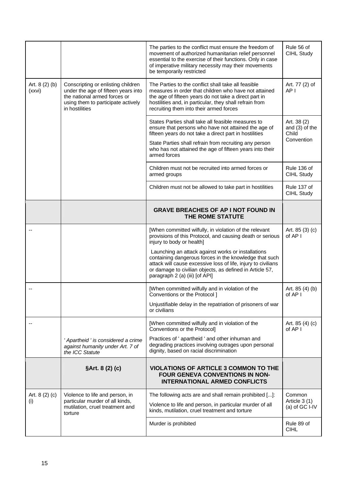|                          |                                                                                                                                                                   | The parties to the conflict must ensure the freedom of<br>movement of authorized humanitarian relief personnel<br>essential to the exercise of their functions. Only in case<br>of imperative military necessity may their movements<br>be temporarily restricted           | Rule 56 of<br>CIHL Study                  |
|--------------------------|-------------------------------------------------------------------------------------------------------------------------------------------------------------------|-----------------------------------------------------------------------------------------------------------------------------------------------------------------------------------------------------------------------------------------------------------------------------|-------------------------------------------|
| Art. $8(2)(b)$<br>(xxvi) | Conscripting or enlisting children<br>under the age of fifteen years into<br>the national armed forces or<br>using them to participate actively<br>in hostilities | The Parties to the conflict shall take all feasible<br>measures in order that children who have not attained<br>the age of fifteen years do not take a direct part in<br>hostilities and, in particular, they shall refrain from<br>recruiting them into their armed forces | Art. 77 (2) of<br>AP <sub>1</sub>         |
|                          |                                                                                                                                                                   | States Parties shall take all feasible measures to<br>ensure that persons who have not attained the age of<br>fifteen years do not take a direct part in hostilities                                                                                                        | Art. 38 (2)<br>and (3) of the<br>Child    |
|                          |                                                                                                                                                                   | State Parties shall refrain from recruiting any person<br>who has not attained the age of fifteen years into their<br>armed forces                                                                                                                                          | Convention                                |
|                          |                                                                                                                                                                   | Children must not be recruited into armed forces or<br>armed groups                                                                                                                                                                                                         | Rule 136 of<br>CIHL Study                 |
|                          |                                                                                                                                                                   | Children must not be allowed to take part in hostilities                                                                                                                                                                                                                    | Rule 137 of<br>CIHL Study                 |
|                          |                                                                                                                                                                   | <b>GRAVE BREACHES OF AP I NOT FOUND IN</b><br>THE ROME STATUTE                                                                                                                                                                                                              |                                           |
|                          |                                                                                                                                                                   | [When committed wilfully, in violation of the relevant<br>provisions of this Protocol, and causing death or serious<br>injury to body or health]                                                                                                                            | Art. 85 (3) (c)<br>of AP I                |
|                          |                                                                                                                                                                   | Launching an attack against works or installations<br>containing dangerous forces in the knowledge that such<br>attack will cause excessive loss of life, injury to civilians<br>or damage to civilian objects, as defined in Article 57,<br>paragraph 2 (a) (iii) [of API] |                                           |
|                          |                                                                                                                                                                   | [When committed wilfully and in violation of the<br>Conventions or the Protocol ]                                                                                                                                                                                           | Art. 85 (4) (b)<br>of AP I                |
|                          |                                                                                                                                                                   | Unjustifiable delay in the repatriation of prisoners of war<br>or civilians                                                                                                                                                                                                 |                                           |
|                          |                                                                                                                                                                   | [When committed wilfully and in violation of the<br>Conventions or the Protocol]                                                                                                                                                                                            | Art. $85(4)(c)$<br>of AP I                |
|                          | ' Apartheid ' is considered a crime<br>against humanity under Art. 7 of<br>the ICC Statute                                                                        | Practices of ' apartheid ' and other inhuman and<br>degrading practices involving outrages upon personal<br>dignity, based on racial discrimination                                                                                                                         |                                           |
|                          | §Art. 8 (2) (c)                                                                                                                                                   | <b>VIOLATIONS OF ARTICLE 3 COMMON TO THE</b><br>FOUR GENEVA CONVENTIONS IN NON-<br><b>INTERNATIONAL ARMED CONFLICTS</b>                                                                                                                                                     |                                           |
| Art. $8(2)(c)$<br>(i)    | Violence to life and person, in<br>particular murder of all kinds,<br>mutilation, cruel treatment and<br>torture                                                  | The following acts are and shall remain prohibited []:<br>Violence to life and person, in particular murder of all<br>kinds, mutilation, cruel treatment and torture                                                                                                        | Common<br>Article 3 (1)<br>(a) of GC I-IV |
|                          |                                                                                                                                                                   | Murder is prohibited                                                                                                                                                                                                                                                        | Rule 89 of<br><b>CIHL</b>                 |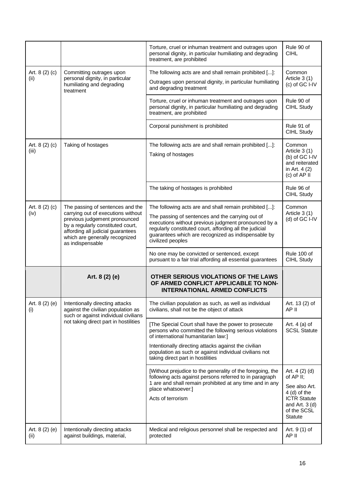|                         |                                                                                                                                                                                                                                         | Torture, cruel or inhuman treatment and outrages upon<br>personal dignity, in particular humiliating and degrading<br>treatment, are prohibited                                                                                                                                                           | Rule 90 of<br><b>CIHL</b>                                                                                                          |
|-------------------------|-----------------------------------------------------------------------------------------------------------------------------------------------------------------------------------------------------------------------------------------|-----------------------------------------------------------------------------------------------------------------------------------------------------------------------------------------------------------------------------------------------------------------------------------------------------------|------------------------------------------------------------------------------------------------------------------------------------|
| Art. 8 (2) (c)<br>(ii)  | Committing outrages upon<br>personal dignity, in particular<br>humiliating and degrading<br>treatment                                                                                                                                   | The following acts are and shall remain prohibited []:<br>Outrages upon personal dignity, in particular humiliating<br>and degrading treatment                                                                                                                                                            | Common<br>Article 3 (1)<br>(c) of GC I-IV                                                                                          |
|                         |                                                                                                                                                                                                                                         | Torture, cruel or inhuman treatment and outrages upon<br>personal dignity, in particular humiliating and degrading<br>treatment, are prohibited                                                                                                                                                           | Rule 90 of<br>CIHL Study                                                                                                           |
|                         |                                                                                                                                                                                                                                         | Corporal punishment is prohibited                                                                                                                                                                                                                                                                         | Rule 91 of<br><b>CIHL Study</b>                                                                                                    |
| Art. 8 (2) (c)<br>(iii) | Taking of hostages                                                                                                                                                                                                                      | The following acts are and shall remain prohibited []:<br>Taking of hostages                                                                                                                                                                                                                              | Common<br>Article 3 (1)<br>(b) of GC I-IV<br>and reiterated<br>in Art. 4 (2)<br>(c) of AP II                                       |
|                         |                                                                                                                                                                                                                                         | The taking of hostages is prohibited                                                                                                                                                                                                                                                                      | Rule 96 of<br>CIHL Study                                                                                                           |
| Art. 8 (2) (c)<br>(iv)  | The passing of sentences and the<br>carrying out of executions without<br>previous judgement pronounced<br>by a regularly constituted court,<br>affording all judicial guarantees<br>which are generally recognized<br>as indispensable | The following acts are and shall remain prohibited []:<br>The passing of sentences and the carrying out of<br>executions without previous judgment pronounced by a<br>regularly constituted court, affording all the judicial<br>guarantees which are recognized as indispensable by<br>civilized peoples | Common<br>Article 3 (1)<br>(d) of GC I-IV                                                                                          |
|                         |                                                                                                                                                                                                                                         | No one may be convicted or sentenced, except<br>pursuant to a fair trial affording all essential guarantees                                                                                                                                                                                               | Rule 100 of<br>CIHL Study                                                                                                          |
|                         | Art. 8 (2) (e)                                                                                                                                                                                                                          | OTHER SERIOUS VIOLATIONS OF THE LAWS<br>OF ARMED CONFLICT APPLICABLE TO NON-<br><b>INTERNATIONAL ARMED CONFLICTS</b>                                                                                                                                                                                      |                                                                                                                                    |
| Art. $8(2)(e)$<br>(i)   | Intentionally directing attacks<br>against the civilian population as<br>such or against individual civilians<br>not taking direct part in hostilities                                                                                  | The civilian population as such, as well as individual<br>civilians, shall not be the object of attack                                                                                                                                                                                                    | Art. 13 (2) of<br>AP II                                                                                                            |
|                         |                                                                                                                                                                                                                                         | [The Special Court shall have the power to prosecute<br>persons who committed the following serious violations<br>of international humanitarian law:]                                                                                                                                                     | Art. $4$ (a) of<br><b>SCSL Statute</b>                                                                                             |
|                         |                                                                                                                                                                                                                                         | Intentionally directing attacks against the civilian<br>population as such or against individual civilians not<br>taking direct part in hostilities                                                                                                                                                       |                                                                                                                                    |
|                         |                                                                                                                                                                                                                                         | [Without prejudice to the generality of the foregoing, the<br>following acts against persons referred to in paragraph<br>1 are and shall remain prohibited at any time and in any<br>place whatsoever:]<br>Acts of terrorism                                                                              | Art. 4 (2) (d)<br>of AP II;<br>See also Art.<br>$4$ (d) of the<br><b>ICTR Statute</b><br>and Art. $3(d)$<br>of the SCSL<br>Statute |
| Art. 8 (2) (e)<br>(ii)  | Intentionally directing attacks<br>against buildings, material,                                                                                                                                                                         | Medical and religious personnel shall be respected and<br>protected                                                                                                                                                                                                                                       | Art. 9 (1) of<br>AP II                                                                                                             |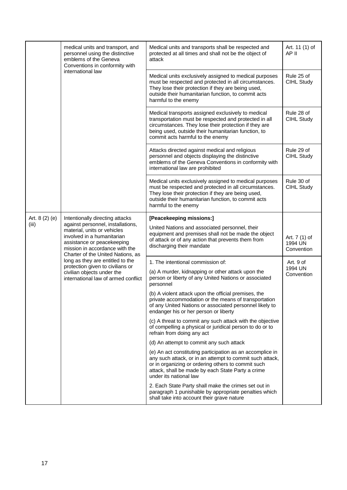|                | medical units and transport, and<br>personnel using the distinctive<br>emblems of the Geneva<br>Conventions in conformity with<br>international law                                                                                                                                                                                              | Medical units and transports shall be respected and<br>protected at all times and shall not be the object of<br>attack                                                                                                                                          | Art. 11 (1) of<br>AP II                |
|----------------|--------------------------------------------------------------------------------------------------------------------------------------------------------------------------------------------------------------------------------------------------------------------------------------------------------------------------------------------------|-----------------------------------------------------------------------------------------------------------------------------------------------------------------------------------------------------------------------------------------------------------------|----------------------------------------|
|                |                                                                                                                                                                                                                                                                                                                                                  | Medical units exclusively assigned to medical purposes<br>must be respected and protected in all circumstances.<br>They lose their protection if they are being used,<br>outside their humanitarian function, to commit acts<br>harmful to the enemy            | Rule 25 of<br>CIHL Study               |
|                |                                                                                                                                                                                                                                                                                                                                                  | Medical transports assigned exclusively to medical<br>transportation must be respected and protected in all<br>circumstances. They lose their protection if they are<br>being used, outside their humanitarian function, to<br>commit acts harmful to the enemy | Rule 28 of<br>CIHL Study               |
|                |                                                                                                                                                                                                                                                                                                                                                  | Attacks directed against medical and religious<br>personnel and objects displaying the distinctive<br>emblems of the Geneva Conventions in conformity with<br>international law are prohibited                                                                  | Rule 29 of<br>CIHL Study               |
|                |                                                                                                                                                                                                                                                                                                                                                  | Medical units exclusively assigned to medical purposes<br>must be respected and protected in all circumstances.<br>They lose their protection if they are being used,<br>outside their humanitarian function, to commit acts<br>harmful to the enemy            | Rule 30 of<br>CIHL Study               |
| Art. 8 (2) (e) | Intentionally directing attacks                                                                                                                                                                                                                                                                                                                  | [Peacekeeping missions:]                                                                                                                                                                                                                                        |                                        |
| (iii)          | against personnel, installations,<br>material, units or vehicles<br>involved in a humanitarian<br>assistance or peacekeeping<br>mission in accordance with the<br>Charter of the United Nations, as<br>long as they are entitled to the<br>protection given to civilians or<br>civilian objects under the<br>international law of armed conflict | United Nations and associated personnel, their<br>equipment and premises shall not be made the object<br>of attack or of any action that prevents them from<br>discharging their mandate                                                                        | Art. 7 (1) of<br>1994 UN<br>Convention |
|                |                                                                                                                                                                                                                                                                                                                                                  | 1. The intentional commission of:                                                                                                                                                                                                                               | Art. 9 of<br>1994 UN<br>Convention     |
|                |                                                                                                                                                                                                                                                                                                                                                  | (a) A murder, kidnapping or other attack upon the<br>person or liberty of any United Nations or associated<br>personnel                                                                                                                                         |                                        |
|                |                                                                                                                                                                                                                                                                                                                                                  | (b) A violent attack upon the official premises, the<br>private accommodation or the means of transportation<br>of any United Nations or associated personnel likely to<br>endanger his or her person or liberty                                                |                                        |
|                |                                                                                                                                                                                                                                                                                                                                                  | (c) A threat to commit any such attack with the objective<br>of compelling a physical or juridical person to do or to<br>refrain from doing any act                                                                                                             |                                        |
|                |                                                                                                                                                                                                                                                                                                                                                  | (d) An attempt to commit any such attack                                                                                                                                                                                                                        |                                        |
|                |                                                                                                                                                                                                                                                                                                                                                  | (e) An act constituting participation as an accomplice in<br>any such attack, or in an attempt to commit such attack,<br>or in organizing or ordering others to commit such<br>attack, shall be made by each State Party a crime<br>under its national law      |                                        |
|                |                                                                                                                                                                                                                                                                                                                                                  | 2. Each State Party shall make the crimes set out in<br>paragraph 1 punishable by appropriate penalties which<br>shall take into account their grave nature                                                                                                     |                                        |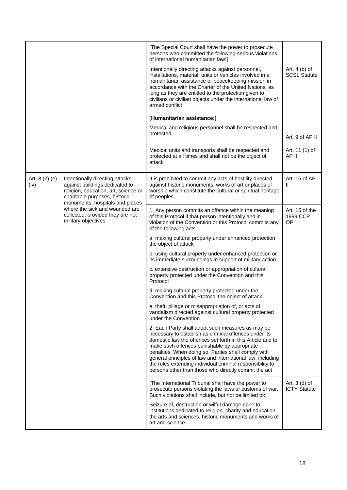|                        |                                                                                                                                                                                                                                                                            | [The Special Court shall have the power to prosecute<br>persons who committed the following serious violations<br>of international humanitarian law:]                                                                                                                                                                                                                                                                                                              |                                        |
|------------------------|----------------------------------------------------------------------------------------------------------------------------------------------------------------------------------------------------------------------------------------------------------------------------|--------------------------------------------------------------------------------------------------------------------------------------------------------------------------------------------------------------------------------------------------------------------------------------------------------------------------------------------------------------------------------------------------------------------------------------------------------------------|----------------------------------------|
|                        |                                                                                                                                                                                                                                                                            | Intentionally directing attacks against personnel,<br>installations, material, units or vehicles involved in a<br>humanitarian assistance or peacekeeping mission in<br>accordance with the Charter of the United Nations, as<br>long as they are entitled to the protection given to<br>civilians or civilian objects under the international law of<br>armed conflict                                                                                            | Art. $4(b)$ of<br><b>SCSL Statute</b>  |
|                        |                                                                                                                                                                                                                                                                            | [Humanitarian assistance:]                                                                                                                                                                                                                                                                                                                                                                                                                                         |                                        |
|                        |                                                                                                                                                                                                                                                                            | Medical and religious personnel shall be respected and<br>protected                                                                                                                                                                                                                                                                                                                                                                                                | Art. 9 of AP II                        |
|                        |                                                                                                                                                                                                                                                                            | Medical units and transports shall be respected and<br>protected at all times and shall not be the object of<br>attack                                                                                                                                                                                                                                                                                                                                             | Art. 11 (1) of<br>AP II                |
| Art. $8(2)(e)$<br>(iv) | Intentionally directing attacks<br>against buildings dedicated to<br>religion, education, art, science or<br>charitable purposes, historic<br>monuments, hospitals and places<br>where the sick and wounded are<br>collected, provided they are not<br>military objectives | It is prohibited to commit any acts of hostility directed<br>against historic monuments, works of art or places of<br>worship which constitute the cultural or spiritual heritage<br>of peoples                                                                                                                                                                                                                                                                    | Art. 16 of AP<br>$\mathbf{H}$          |
|                        |                                                                                                                                                                                                                                                                            | 1. Any person commits an offence within the meaning<br>of this Protocol if that person intentionally and in<br>violation of the Convention or this Protocol commits any<br>of the following acts:                                                                                                                                                                                                                                                                  | Art. 15 of the<br>1999 CCP<br>OP       |
|                        |                                                                                                                                                                                                                                                                            | a. making cultural property under enhanced protection<br>the object of attack                                                                                                                                                                                                                                                                                                                                                                                      |                                        |
|                        |                                                                                                                                                                                                                                                                            | b. using cultural property under enhanced protection or<br>its immediate surroundings in support of military action                                                                                                                                                                                                                                                                                                                                                |                                        |
|                        |                                                                                                                                                                                                                                                                            | c. extensive destruction or appropriation of cultural<br>property protected under the Convention and this<br>Protocol                                                                                                                                                                                                                                                                                                                                              |                                        |
|                        |                                                                                                                                                                                                                                                                            | d. making cultural property protected under the<br>Convention and this Protocol the object of attack                                                                                                                                                                                                                                                                                                                                                               |                                        |
|                        |                                                                                                                                                                                                                                                                            | e. theft, pillage or misappropriation of, or acts of<br>vandalism directed against cultural property protected<br>under the Convention                                                                                                                                                                                                                                                                                                                             |                                        |
|                        |                                                                                                                                                                                                                                                                            | 2. Each Party shall adopt such measures as may be<br>necessary to establish as criminal offences under its<br>domestic law the offences set forth in this Article and to<br>make such offences punishable by appropriate<br>penalties. When doing so, Parties shall comply with<br>general principles of law and international law, including<br>the rules extending individual criminal responsibility to<br>persons other than those who directly commit the act |                                        |
|                        |                                                                                                                                                                                                                                                                            | [The International Tribunal shall have the power to<br>prosecute persons violating the laws or customs of war.<br>Such violations shall include, but not be limited to:]                                                                                                                                                                                                                                                                                           | Art. $3$ (d) of<br><b>ICTY Statute</b> |
|                        |                                                                                                                                                                                                                                                                            | Seizure of, destruction or wilful damage done to<br>institutions dedicated to religion, charity and education,<br>the arts and sciences, historic monuments and works of<br>art and science                                                                                                                                                                                                                                                                        |                                        |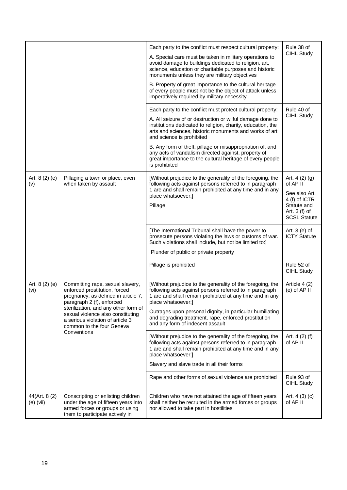|                             |                                                                                                                                                                                                                                                                                                    | Each party to the conflict must respect cultural property:<br>A. Special care must be taken in military operations to<br>avoid damage to buildings dedicated to religion, art,<br>science, education or charitable purposes and historic<br>monuments unless they are military objectives<br>B. Property of great importance to the cultural heritage<br>of every people must not be the object of attack unless<br>imperatively required by military necessity | Rule 38 of<br>CIHL Study                                                                                            |
|-----------------------------|----------------------------------------------------------------------------------------------------------------------------------------------------------------------------------------------------------------------------------------------------------------------------------------------------|-----------------------------------------------------------------------------------------------------------------------------------------------------------------------------------------------------------------------------------------------------------------------------------------------------------------------------------------------------------------------------------------------------------------------------------------------------------------|---------------------------------------------------------------------------------------------------------------------|
|                             |                                                                                                                                                                                                                                                                                                    | Each party to the conflict must protect cultural property:<br>A. All seizure of or destruction or wilful damage done to<br>institutions dedicated to religion, charity, education, the<br>arts and sciences, historic monuments and works of art<br>and science is prohibited                                                                                                                                                                                   | Rule 40 of<br>CIHL Study                                                                                            |
|                             |                                                                                                                                                                                                                                                                                                    | B. Any form of theft, pillage or misappropriation of, and<br>any acts of vandalism directed against, property of<br>great importance to the cultural heritage of every people<br>is prohibited                                                                                                                                                                                                                                                                  |                                                                                                                     |
| Art. $8(2)(e)$<br>(v)       | Pillaging a town or place, even<br>when taken by assault                                                                                                                                                                                                                                           | [Without prejudice to the generality of the foregoing, the<br>following acts against persons referred to in paragraph<br>1 are and shall remain prohibited at any time and in any<br>place whatsoever:]<br>Pillage                                                                                                                                                                                                                                              | Art. $4(2)(g)$<br>of AP II<br>See also Art.<br>4 (f) of ICTR<br>Statute and<br>Art. 3 (f) of<br><b>SCSL Statute</b> |
|                             |                                                                                                                                                                                                                                                                                                    | [The International Tribunal shall have the power to<br>prosecute persons violating the laws or customs of war.<br>Such violations shall include, but not be limited to:<br>Plunder of public or private property                                                                                                                                                                                                                                                | Art. $3(e)$ of<br><b>ICTY Statute</b>                                                                               |
|                             |                                                                                                                                                                                                                                                                                                    | Pillage is prohibited                                                                                                                                                                                                                                                                                                                                                                                                                                           | Rule 52 of<br>CIHL Study                                                                                            |
| Art. $8(2)(e)$<br>(vi)      | Committing rape, sexual slavery,<br>enforced prostitution, forced<br>pregnancy, as defined in article 7,<br>paragraph 2 (f), enforced<br>sterilization, and any other form of<br>sexual violence also constituting<br>a serious violation of article 3<br>common to the four Geneva<br>Conventions | [Without prejudice to the generality of the foregoing, the<br>following acts against persons referred to in paragraph<br>1 are and shall remain prohibited at any time and in any<br>place whatsoever:]<br>Outrages upon personal dignity, in particular humiliating<br>and degrading treatment, rape, enforced prostitution<br>and any form of indecent assault                                                                                                | Article 4 (2)<br>$(e)$ of AP II                                                                                     |
|                             |                                                                                                                                                                                                                                                                                                    | [Without prejudice to the generality of the foregoing, the<br>following acts against persons referred to in paragraph<br>1 are and shall remain prohibited at any time and in any<br>place whatsoever:]                                                                                                                                                                                                                                                         | Art. $4(2)$ (f)<br>of AP II                                                                                         |
|                             |                                                                                                                                                                                                                                                                                                    | Slavery and slave trade in all their forms<br>Rape and other forms of sexual violence are prohibited                                                                                                                                                                                                                                                                                                                                                            | Rule 93 of                                                                                                          |
|                             |                                                                                                                                                                                                                                                                                                    |                                                                                                                                                                                                                                                                                                                                                                                                                                                                 | CIHL Study                                                                                                          |
| 44(Art. 8(2)<br>$(e)$ (vii) | Conscripting or enlisting children<br>under the age of fifteen years into<br>armed forces or groups or using<br>them to participate actively in                                                                                                                                                    | Children who have not attained the age of fifteen years<br>shall neither be recruited in the armed forces or groups<br>nor allowed to take part in hostilities                                                                                                                                                                                                                                                                                                  | Art. $4(3)(c)$<br>of AP II                                                                                          |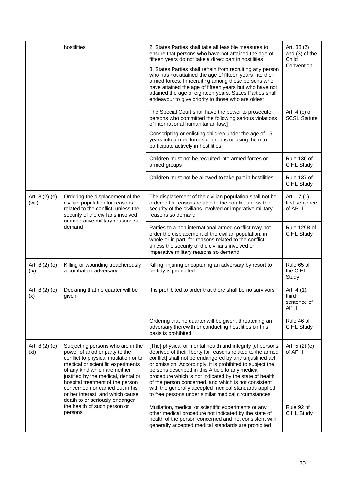|                          | hostilities                                                                                                                                                                                                                                                                                                                                                                                                       | 2. States Parties shall take all feasible measures to<br>ensure that persons who have not attained the age of<br>fifteen years do not take a direct part in hostilities                                                                                                                                                                                                                                                                                                                                                                 | Art. 38 (2)<br>and (3) of the<br>Child       |
|--------------------------|-------------------------------------------------------------------------------------------------------------------------------------------------------------------------------------------------------------------------------------------------------------------------------------------------------------------------------------------------------------------------------------------------------------------|-----------------------------------------------------------------------------------------------------------------------------------------------------------------------------------------------------------------------------------------------------------------------------------------------------------------------------------------------------------------------------------------------------------------------------------------------------------------------------------------------------------------------------------------|----------------------------------------------|
|                          |                                                                                                                                                                                                                                                                                                                                                                                                                   | 3. States Parties shall refrain from recruiting any person<br>who has not attained the age of fifteen years into their<br>armed forces. In recruiting among those persons who<br>have attained the age of fifteen years but who have not<br>attained the age of eighteen years, States Parties shall<br>endeavour to give priority to those who are oldest                                                                                                                                                                              | Convention                                   |
|                          |                                                                                                                                                                                                                                                                                                                                                                                                                   | The Special Court shall have the power to prosecute<br>persons who committed the following serious violations<br>of international humanitarian law:]                                                                                                                                                                                                                                                                                                                                                                                    | Art. $4$ (c) of<br><b>SCSL Statute</b>       |
|                          |                                                                                                                                                                                                                                                                                                                                                                                                                   | Conscripting or enlisting children under the age of 15<br>years into armed forces or groups or using them to<br>participate actively in hostilities                                                                                                                                                                                                                                                                                                                                                                                     |                                              |
|                          |                                                                                                                                                                                                                                                                                                                                                                                                                   | Children must not be recruited into armed forces or<br>armed groups                                                                                                                                                                                                                                                                                                                                                                                                                                                                     | Rule 136 of<br>CIHL Study                    |
|                          |                                                                                                                                                                                                                                                                                                                                                                                                                   | Children must not be allowed to take part in hostilities.                                                                                                                                                                                                                                                                                                                                                                                                                                                                               | Rule 137 of<br>CIHL Study                    |
| Art. 8 (2) (e)<br>(viii) | Ordering the displacement of the<br>civilian population for reasons<br>related to the conflict, unless the<br>security of the civilians involved<br>or imperative military reasons so<br>demand                                                                                                                                                                                                                   | The displacement of the civilian population shall not be<br>ordered for reasons related to the conflict unless the<br>security of the civilians involved or imperative military<br>reasons so demand                                                                                                                                                                                                                                                                                                                                    | Art. 17 (1),<br>first sentence<br>of AP II   |
|                          |                                                                                                                                                                                                                                                                                                                                                                                                                   | Parties to a non-international armed conflict may not<br>order the displacement of the civilian population, in<br>whole or in part, for reasons related to the conflict,<br>unless the security of the civilians involved or<br>imperative military reasons so demand                                                                                                                                                                                                                                                                   | Rule 129B of<br>CIHL Study                   |
| Art. 8 (2) (e)<br>(ix)   | Killing or wounding treacherously<br>a combatant adversary                                                                                                                                                                                                                                                                                                                                                        | Killing, injuring or capturing an adversary by resort to<br>perfidy is prohibited                                                                                                                                                                                                                                                                                                                                                                                                                                                       | Rule 65 of<br>the CIHL<br>Study              |
| Art. 8 (2) (e)<br>(x)    | Declaring that no quarter will be<br>given                                                                                                                                                                                                                                                                                                                                                                        | It is prohibited to order that there shall be no survivors                                                                                                                                                                                                                                                                                                                                                                                                                                                                              | Art. 4 (1).<br>third<br>sentence of<br>AP II |
|                          |                                                                                                                                                                                                                                                                                                                                                                                                                   | Ordering that no quarter will be given, threatening an<br>adversary therewith or conducting hostilities on this<br>basis is prohibited                                                                                                                                                                                                                                                                                                                                                                                                  | Rule 46 of<br>CIHL Study                     |
| Art. $8(2)(e)$<br>(xi)   | Subjecting persons who are in the<br>power of another party to the<br>conflict to physical mutilation or to<br>medical or scientific experiments<br>of any kind which are neither<br>justified by the medical, dental or<br>hospital treatment of the person<br>concerned nor carried out in his<br>or her interest, and which cause<br>death to or seriously endanger<br>the health of such person or<br>persons | [The] physical or mental health and integrity [of persons<br>deprived of their liberty for reasons related to the armed<br>conflict] shall not be endangered by any unjustified act<br>or omission. Accordingly, it is prohibited to subject the<br>persons described in this Article to any medical<br>procedure which is not indicated by the state of health<br>of the person concerned, and which is not consistent<br>with the generally accepted medical standards applied<br>to free persons under similar medical circumstances | Art. $5(2)(e)$<br>of AP II                   |
|                          |                                                                                                                                                                                                                                                                                                                                                                                                                   | Mutilation, medical or scientific experiments or any<br>other medical procedure not indicated by the state of<br>health of the person concerned and not consistent with<br>generally accepted medical standards are prohibited                                                                                                                                                                                                                                                                                                          | Rule 92 of<br>CIHL Study                     |